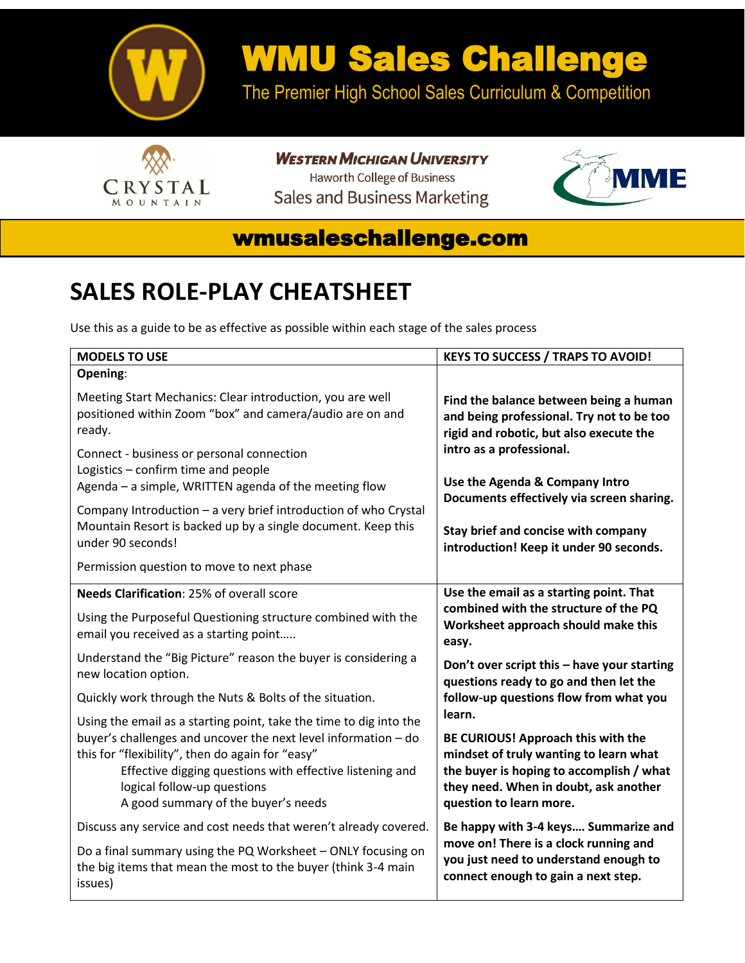

## WMU Sales Challenge

The Premier High School Sales Curriculum & Competition



**WESTERN MICHIGAN UNIVERSITY Haworth College of Business Sales and Business Marketing** 



## wmusaleschallenge.com

## **SALES ROLE-PLAY CHEATSHEET**

Use this as a guide to be as effective as possible within each stage of the sales process

| <b>MODELS TO USE</b>                                                                                                                                                                                                                                 | <b>KEYS TO SUCCESS / TRAPS TO AVOID!</b>                                                                                                                                                     |
|------------------------------------------------------------------------------------------------------------------------------------------------------------------------------------------------------------------------------------------------------|----------------------------------------------------------------------------------------------------------------------------------------------------------------------------------------------|
| Opening:                                                                                                                                                                                                                                             |                                                                                                                                                                                              |
| Meeting Start Mechanics: Clear introduction, you are well<br>positioned within Zoom "box" and camera/audio are on and<br>ready.                                                                                                                      | Find the balance between being a human<br>and being professional. Try not to be too<br>rigid and robotic, but also execute the                                                               |
| Connect - business or personal connection<br>Logistics - confirm time and people<br>Agenda - a simple, WRITTEN agenda of the meeting flow                                                                                                            | intro as a professional.<br>Use the Agenda & Company Intro<br>Documents effectively via screen sharing.                                                                                      |
| Company Introduction - a very brief introduction of who Crystal<br>Mountain Resort is backed up by a single document. Keep this<br>under 90 seconds!                                                                                                 | Stay brief and concise with company<br>introduction! Keep it under 90 seconds.                                                                                                               |
| Permission question to move to next phase                                                                                                                                                                                                            |                                                                                                                                                                                              |
| Needs Clarification: 25% of overall score                                                                                                                                                                                                            | Use the email as a starting point. That                                                                                                                                                      |
| Using the Purposeful Questioning structure combined with the<br>email you received as a starting point                                                                                                                                               | combined with the structure of the PQ<br>Worksheet approach should make this<br>easy.                                                                                                        |
| Understand the "Big Picture" reason the buyer is considering a<br>new location option.                                                                                                                                                               | Don't over script this - have your starting<br>questions ready to go and then let the                                                                                                        |
| Quickly work through the Nuts & Bolts of the situation.                                                                                                                                                                                              | follow-up questions flow from what you                                                                                                                                                       |
| Using the email as a starting point, take the time to dig into the                                                                                                                                                                                   | learn.                                                                                                                                                                                       |
| buyer's challenges and uncover the next level information - do<br>this for "flexibility", then do again for "easy"<br>Effective digging questions with effective listening and<br>logical follow-up questions<br>A good summary of the buyer's needs | BE CURIOUS! Approach this with the<br>mindset of truly wanting to learn what<br>the buyer is hoping to accomplish / what<br>they need. When in doubt, ask another<br>question to learn more. |
| Discuss any service and cost needs that weren't already covered.                                                                                                                                                                                     | Be happy with 3-4 keys Summarize and<br>move on! There is a clock running and<br>you just need to understand enough to<br>connect enough to gain a next step.                                |
| Do a final summary using the PQ Worksheet - ONLY focusing on<br>the big items that mean the most to the buyer (think 3-4 main<br>issues)                                                                                                             |                                                                                                                                                                                              |